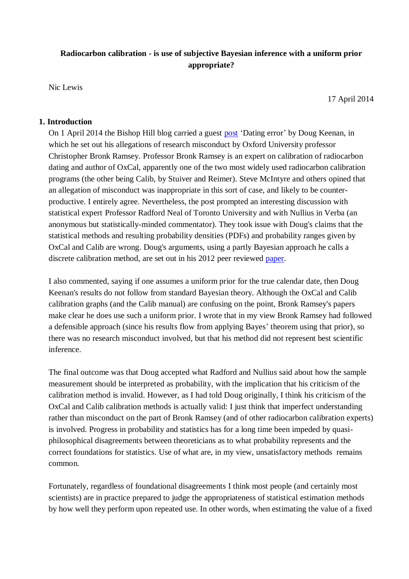# **Radiocarbon calibration - is use of subjective Bayesian inference with a uniform prior appropriate?**

Nic Lewis

17 April 2014

#### **1. Introduction**

On 1 April 2014 the Bishop Hill blog carried a guest [post](http://bishophill.squarespace.com/blog/2014/3/30/dating-error.html) 'Dating error' by Doug Keenan, in which he set out his allegations of research misconduct by Oxford University professor Christopher Bronk Ramsey. Professor Bronk Ramsey is an expert on calibration of radiocarbon dating and author of OxCal, apparently one of the two most widely used radiocarbon calibration programs (the other being Calib, by Stuiver and Reimer). Steve McIntyre and others opined that an allegation of misconduct was inappropriate in this sort of case, and likely to be counterproductive. I entirely agree. Nevertheless, the post prompted an interesting discussion with statistical expert Professor Radford Neal of Toronto University and with Nullius in Verba (an anonymous but statistically-minded commentator). They took issue with Doug's claims that the statistical methods and resulting probability densities (PDFs) and probability ranges given by OxCal and Calib are wrong. Doug's arguments, using a partly Bayesian approach he calls a discrete calibration method, are set out in his 2012 peer reviewed [paper.](http://www.informath.org/pubs/NPG12a.pdf)

I also commented, saying if one assumes a uniform prior for the true calendar date, then Doug Keenan's results do not follow from standard Bayesian theory. Although the OxCal and Calib calibration graphs (and the Calib manual) are confusing on the point, Bronk Ramsey's papers make clear he does use such a uniform prior. I wrote that in my view Bronk Ramsey had followed a defensible approach (since his results flow from applying Bayes' theorem using that prior), so there was no research misconduct involved, but that his method did not represent best scientific inference.

The final outcome was that Doug accepted what Radford and Nullius said about how the sample measurement should be interpreted as probability, with the implication that his criticism of the calibration method is invalid. However, as I had told Doug originally, I think his criticism of the OxCal and Calib calibration methods is actually valid: I just think that imperfect understanding rather than misconduct on the part of Bronk Ramsey (and of other radiocarbon calibration experts) is involved. Progress in probability and statistics has for a long time been impeded by quasiphilosophical disagreements between theoreticians as to what probability represents and the correct foundations for statistics. Use of what are, in my view, unsatisfactory methods remains common.

Fortunately, regardless of foundational disagreements I think most people (and certainly most scientists) are in practice prepared to judge the appropriateness of statistical estimation methods by how well they perform upon repeated use. In other words, when estimating the value of a fixed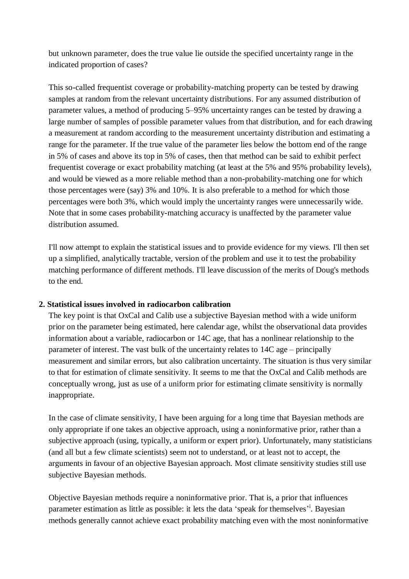but unknown parameter, does the true value lie outside the specified uncertainty range in the indicated proportion of cases?

This so-called frequentist coverage or probability-matching property can be tested by drawing samples at random from the relevant uncertainty distributions. For any assumed distribution of parameter values, a method of producing 5–95% uncertainty ranges can be tested by drawing a large number of samples of possible parameter values from that distribution, and for each drawing a measurement at random according to the measurement uncertainty distribution and estimating a range for the parameter. If the true value of the parameter lies below the bottom end of the range in 5% of cases and above its top in 5% of cases, then that method can be said to exhibit perfect frequentist coverage or exact probability matching (at least at the 5% and 95% probability levels), and would be viewed as a more reliable method than a non-probability-matching one for which those percentages were (say) 3% and 10%. It is also preferable to a method for which those percentages were both 3%, which would imply the uncertainty ranges were unnecessarily wide. Note that in some cases probability-matching accuracy is unaffected by the parameter value distribution assumed.

I'll now attempt to explain the statistical issues and to provide evidence for my views. I'll then set up a simplified, analytically tractable, version of the problem and use it to test the probability matching performance of different methods. I'll leave discussion of the merits of Doug's methods to the end.

## **2. Statistical issues involved in radiocarbon calibration**

The key point is that OxCal and Calib use a subjective Bayesian method with a wide uniform prior on the parameter being estimated, here calendar age, whilst the observational data provides information about a variable, radiocarbon or 14C age, that has a nonlinear relationship to the parameter of interest. The vast bulk of the uncertainty relates to 14C age – principally measurement and similar errors, but also calibration uncertainty. The situation is thus very similar to that for estimation of climate sensitivity. It seems to me that the OxCal and Calib methods are conceptually wrong, just as use of a uniform prior for estimating climate sensitivity is normally inappropriate.

In the case of climate sensitivity, I have been arguing for a long time that Bayesian methods are only appropriate if one takes an objective approach, using a noninformative prior, rather than a subjective approach (using, typically, a uniform or expert prior). Unfortunately, many statisticians (and all but a few climate scientists) seem not to understand, or at least not to accept, the arguments in favour of an objective Bayesian approach. Most climate sensitivity studies still use subjective Bayesian methods.

Objective Bayesian methods require a noninformative prior. That is, a prior that influences parameter estimation as little as possible: it lets the data 'speak for themselves'<sup>i</sup>. Bayesian methods generally cannot achieve exact probability matching even with the most noninformative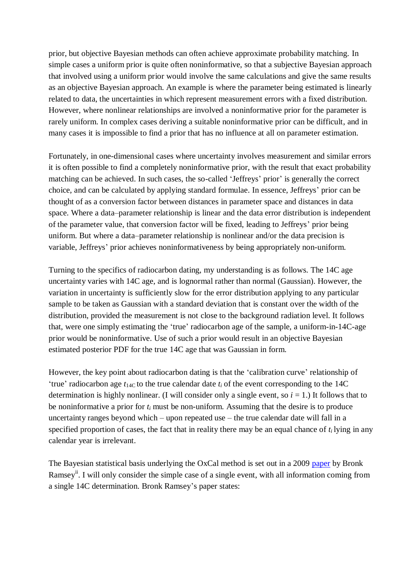prior, but objective Bayesian methods can often achieve approximate probability matching. In simple cases a uniform prior is quite often noninformative, so that a subjective Bayesian approach that involved using a uniform prior would involve the same calculations and give the same results as an objective Bayesian approach. An example is where the parameter being estimated is linearly related to data, the uncertainties in which represent measurement errors with a fixed distribution. However, where nonlinear relationships are involved a noninformative prior for the parameter is rarely uniform. In complex cases deriving a suitable noninformative prior can be difficult, and in many cases it is impossible to find a prior that has no influence at all on parameter estimation.

Fortunately, in one-dimensional cases where uncertainty involves measurement and similar errors it is often possible to find a completely noninformative prior, with the result that exact probability matching can be achieved. In such cases, the so-called 'Jeffreys' prior' is generally the correct choice, and can be calculated by applying standard formulae. In essence, Jeffreys' prior can be thought of as a conversion factor between distances in parameter space and distances in data space. Where a data–parameter relationship is linear and the data error distribution is independent of the parameter value, that conversion factor will be fixed, leading to Jeffreys' prior being uniform. But where a data–parameter relationship is nonlinear and/or the data precision is variable, Jeffreys' prior achieves noninformativeness by being appropriately non-uniform.

Turning to the specifics of radiocarbon dating, my understanding is as follows. The 14C age uncertainty varies with 14C age, and is lognormal rather than normal (Gaussian). However, the variation in uncertainty is sufficiently slow for the error distribution applying to any particular sample to be taken as Gaussian with a standard deviation that is constant over the width of the distribution, provided the measurement is not close to the background radiation level. It follows that, were one simply estimating the 'true' radiocarbon age of the sample, a uniform-in-14C-age prior would be noninformative. Use of such a prior would result in an objective Bayesian estimated posterior PDF for the true 14C age that was Gaussian in form.

However, the key point about radiocarbon dating is that the 'calibration curve' relationship of 'true' radiocarbon age  $t_{14C}$  to the true calendar date  $t_i$  of the event corresponding to the 14C determination is highly nonlinear. (I will consider only a single event, so  $i = 1$ .) It follows that to be noninformative a prior for *t<sup>i</sup>* must be non-uniform. Assuming that the desire is to produce uncertainty ranges beyond which – upon repeated use – the true calendar date will fall in a specified proportion of cases, the fact that in reality there may be an equal chance of  $t_i$  lying in any calendar year is irrelevant.

The Bayesian statistical basis underlying the OxCal method is set out in a 2009 [paper](ftp://75.151.72.21/geology/polenz/refs for Harley/Bronk Ramsey 2009_RADIOCARBON v 51 no 1__Bayesian Analysis of radiocarbon dates_5-31-13.pdf) by Bronk Ramsey<sup>ii</sup>. I will only consider the simple case of a single event, with all information coming from a single 14C determination. Bronk Ramsey's paper states: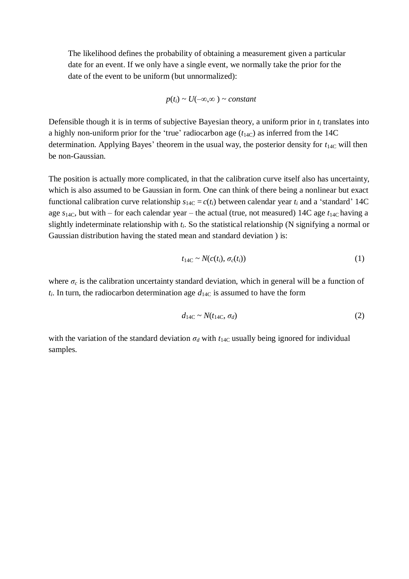The likelihood defines the probability of obtaining a measurement given a particular date for an event. If we only have a single event, we normally take the prior for the date of the event to be uniform (but unnormalized):

$$
p(t_i) \sim U(-\infty, \infty) \sim constant
$$

Defensible though it is in terms of subjective Bayesian theory, a uniform prior in *t<sup>i</sup>* translates into a highly non-uniform prior for the 'true' radiocarbon age  $(t<sub>14C</sub>)$  as inferred from the 14C determination. Applying Bayes' theorem in the usual way, the posterior density for  $t_{14C}$  will then be non-Gaussian.

The position is actually more complicated, in that the calibration curve itself also has uncertainty, which is also assumed to be Gaussian in form. One can think of there being a nonlinear but exact functional calibration curve relationship  $s_{14C} = c(t_i)$  between calendar year  $t_i$  and a 'standard' 14C age  $s_{14C}$ , but with – for each calendar year – the actual (true, not measured) 14C age  $t_{14C}$  having a slightly indeterminate relationship with *ti*. So the statistical relationship (N signifying a normal or Gaussian distribution having the stated mean and standard deviation ) is:

$$
t_{14C} \sim N(c(t_i), \sigma_c(t_i))
$$
 (1)

where  $\sigma_c$  is the calibration uncertainty standard deviation, which in general will be a function of  $t_i$ . In turn, the radiocarbon determination age  $d_{14C}$  is assumed to have the form

$$
d_{14C} \sim N(t_{14C}, \sigma_d) \tag{2}
$$

with the variation of the standard deviation  $\sigma_d$  with  $t_{14C}$  usually being ignored for individual samples.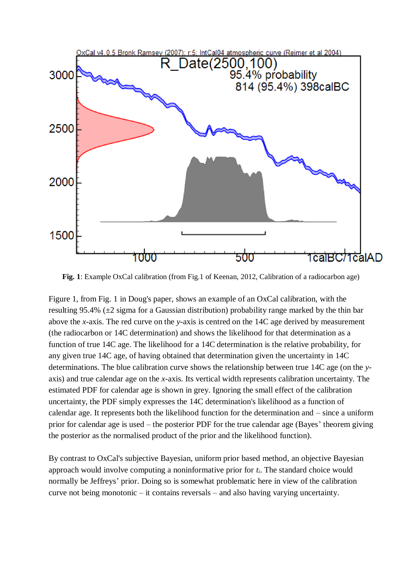

**Fig. 1**: Example OxCal calibration (from Fig.1 of Keenan, 2012, Calibration of a radiocarbon age)

Figure 1, from Fig. 1 in Doug's paper, shows an example of an OxCal calibration, with the resulting 95.4% (±2 sigma for a Gaussian distribution) probability range marked by the thin bar above the *x*-axis. The red curve on the *y*-axis is centred on the 14C age derived by measurement (the radiocarbon or 14C determination) and shows the likelihood for that determination as a function of true 14C age. The likelihood for a 14C determination is the relative probability, for any given true 14C age, of having obtained that determination given the uncertainty in 14C determinations. The blue calibration curve shows the relationship between true 14C age (on the *y*axis) and true calendar age on the *x*-axis. Its vertical width represents calibration uncertainty. The estimated PDF for calendar age is shown in grey. Ignoring the small effect of the calibration uncertainty, the PDF simply expresses the 14C determination's likelihood as a function of calendar age. It represents both the likelihood function for the determination and – since a uniform prior for calendar age is used – the posterior PDF for the true calendar age (Bayes' theorem giving the posterior as the normalised product of the prior and the likelihood function).

By contrast to OxCal's subjective Bayesian, uniform prior based method, an objective Bayesian approach would involve computing a noninformative prior for *ti*. The standard choice would normally be Jeffreys' prior. Doing so is somewhat problematic here in view of the calibration curve not being monotonic – it contains reversals – and also having varying uncertainty.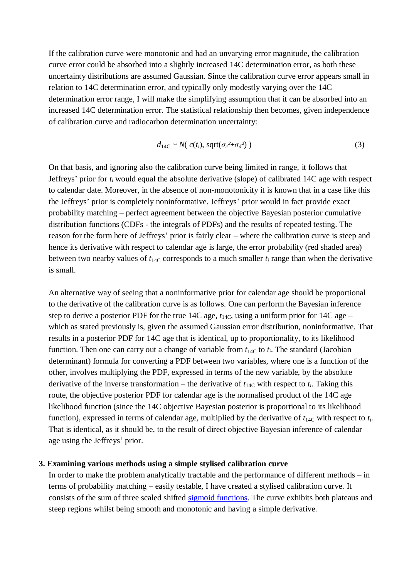If the calibration curve were monotonic and had an unvarying error magnitude, the calibration curve error could be absorbed into a slightly increased 14C determination error, as both these uncertainty distributions are assumed Gaussian. Since the calibration curve error appears small in relation to 14C determination error, and typically only modestly varying over the 14C determination error range, I will make the simplifying assumption that it can be absorbed into an increased 14C determination error. The statistical relationship then becomes, given independence of calibration curve and radiocarbon determination uncertainty:

$$
d_{14C} \sim N(\ c(t_i), \ \text{sqrt}(\sigma_c^2 + \sigma_d^2))
$$
 (3)

On that basis, and ignoring also the calibration curve being limited in range, it follows that Jeffreys' prior for *t<sup>i</sup>* would equal the absolute derivative (slope) of calibrated 14C age with respect to calendar date. Moreover, in the absence of non-monotonicity it is known that in a case like this the Jeffreys' prior is completely noninformative. Jeffreys' prior would in fact provide exact probability matching – perfect agreement between the objective Bayesian posterior cumulative distribution functions (CDFs - the integrals of PDFs) and the results of repeated testing. The reason for the form here of Jeffreys' prior is fairly clear – where the calibration curve is steep and hence its derivative with respect to calendar age is large, the error probability (red shaded area) between two nearby values of  $t_{14C}$  corresponds to a much smaller  $t_i$  range than when the derivative is small.

An alternative way of seeing that a noninformative prior for calendar age should be proportional to the derivative of the calibration curve is as follows. One can perform the Bayesian inference step to derive a posterior PDF for the true 14C age,  $t_{14C}$ , using a uniform prior for 14C age – which as stated previously is, given the assumed Gaussian error distribution, noninformative. That results in a posterior PDF for 14C age that is identical, up to proportionality, to its likelihood function. Then one can carry out a change of variable from  $t_{14C}$  to  $t_i$ . The standard (Jacobian determinant) formula for converting a PDF between two variables, where one is a function of the other, involves multiplying the PDF, expressed in terms of the new variable, by the absolute derivative of the inverse transformation – the derivative of  $t_{14C}$  with respect to  $t_i$ . Taking this route, the objective posterior PDF for calendar age is the normalised product of the 14C age likelihood function (since the 14C objective Bayesian posterior is proportional to its likelihood function), expressed in terms of calendar age, multiplied by the derivative of  $t_{14C}$  with respect to  $t_i$ . That is identical, as it should be, to the result of direct objective Bayesian inference of calendar age using the Jeffreys' prior.

#### **3. Examining various methods using a simple stylised calibration curve**

In order to make the problem analytically tractable and the performance of different methods – in terms of probability matching – easily testable, I have created a stylised calibration curve. It consists of the sum of three scaled shifted [sigmoid functions.](http://en.wikipedia.org/wiki/Sigmoid_function) The curve exhibits both plateaus and steep regions whilst being smooth and monotonic and having a simple derivative.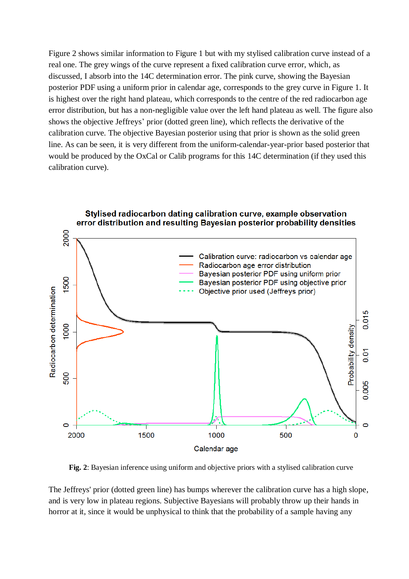Figure 2 shows similar information to Figure 1 but with my stylised calibration curve instead of a real one. The grey wings of the curve represent a fixed calibration curve error, which, as discussed, I absorb into the 14C determination error. The pink curve, showing the Bayesian posterior PDF using a uniform prior in calendar age, corresponds to the grey curve in Figure 1. It is highest over the right hand plateau, which corresponds to the centre of the red radiocarbon age error distribution, but has a non-negligible value over the left hand plateau as well. The figure also shows the objective Jeffreys' prior (dotted green line), which reflects the derivative of the calibration curve. The objective Bayesian posterior using that prior is shown as the solid green line. As can be seen, it is very different from the uniform-calendar-year-prior based posterior that would be produced by the OxCal or Calib programs for this 14C determination (if they used this calibration curve).



**Fig. 2**: Bayesian inference using uniform and objective priors with a stylised calibration curve

The Jeffreys' prior (dotted green line) has bumps wherever the calibration curve has a high slope, and is very low in plateau regions. Subjective Bayesians will probably throw up their hands in horror at it, since it would be unphysical to think that the probability of a sample having any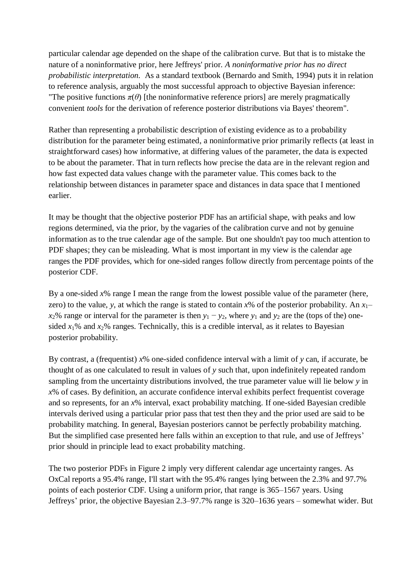particular calendar age depended on the shape of the calibration curve. But that is to mistake the nature of a noninformative prior, here Jeffreys' prior. *A noninformative prior has no direct probabilistic interpretation.* As a standard textbook (Bernardo and Smith, 1994) puts it in relation to reference analysis, arguably the most successful approach to objective Bayesian inference: "The positive functions  $\pi(\theta)$  [the noninformative reference priors] are merely pragmatically convenient *tools* for the derivation of reference posterior distributions via Bayes' theorem".

Rather than representing a probabilistic description of existing evidence as to a probability distribution for the parameter being estimated, a noninformative prior primarily reflects (at least in straightforward cases) how informative, at differing values of the parameter, the data is expected to be about the parameter. That in turn reflects how precise the data are in the relevant region and how fast expected data values change with the parameter value. This comes back to the relationship between distances in parameter space and distances in data space that I mentioned earlier.

It may be thought that the objective posterior PDF has an artificial shape, with peaks and low regions determined, via the prior, by the vagaries of the calibration curve and not by genuine information as to the true calendar age of the sample. But one shouldn't pay too much attention to PDF shapes; they can be misleading. What is most important in my view is the calendar age ranges the PDF provides, which for one-sided ranges follow directly from percentage points of the posterior CDF.

By a one-sided *x*% range I mean the range from the lowest possible value of the parameter (here, zero) to the value, *y*, at which the range is stated to contain  $x\%$  of the posterior probability. An  $x_1$ – *x*<sub>2</sub>% range or interval for the parameter is then  $y_1 - y_2$ , where  $y_1$  and  $y_2$  are the (tops of the) onesided  $x_1$ % and  $x_2$ % ranges. Technically, this is a credible interval, as it relates to Bayesian posterior probability.

By contrast, a (frequentist) *x*% one-sided confidence interval with a limit of *y* can, if accurate, be thought of as one calculated to result in values of *y* such that, upon indefinitely repeated random sampling from the uncertainty distributions involved, the true parameter value will lie below *y* in *x*% of cases. By definition, an accurate confidence interval exhibits perfect frequentist coverage and so represents, for an *x*% interval, exact probability matching. If one-sided Bayesian credible intervals derived using a particular prior pass that test then they and the prior used are said to be probability matching. In general, Bayesian posteriors cannot be perfectly probability matching. But the simplified case presented here falls within an exception to that rule, and use of Jeffreys' prior should in principle lead to exact probability matching.

The two posterior PDFs in Figure 2 imply very different calendar age uncertainty ranges. As OxCal reports a 95.4% range, I'll start with the 95.4% ranges lying between the 2.3% and 97.7% points of each posterior CDF. Using a uniform prior, that range is 365–1567 years. Using Jeffreys' prior, the objective Bayesian 2.3–97.7% range is 320–1636 years – somewhat wider. But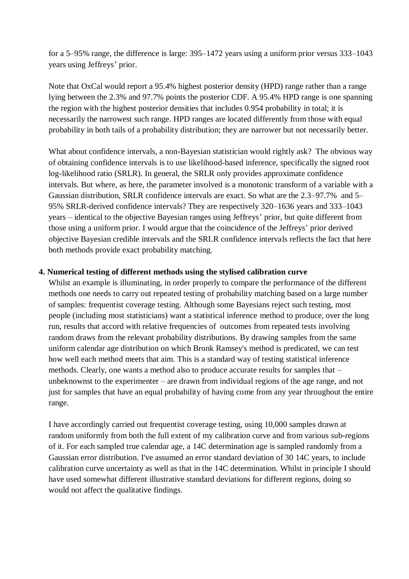for a 5–95% range, the difference is large: 395–1472 years using a uniform prior versus 333–1043 years using Jeffreys' prior.

Note that OxCal would report a 95.4% highest posterior density (HPD) range rather than a range lying between the 2.3% and 97.7% points the posterior CDF. A 95.4% HPD range is one spanning the region with the highest posterior densities that includes 0.954 probability in total; it is necessarily the narrowest such range. HPD ranges are located differently from those with equal probability in both tails of a probability distribution; they are narrower but not necessarily better.

What about confidence intervals, a non-Bayesian statistician would rightly ask? The obvious way of obtaining confidence intervals is to use likelihood-based inference, specifically the signed root log-likelihood ratio (SRLR). In general, the SRLR only provides approximate confidence intervals. But where, as here, the parameter involved is a monotonic transform of a variable with a Gaussian distribution, SRLR confidence intervals are exact. So what are the 2.3–97.7% and 5– 95% SRLR-derived confidence intervals? They are respectively 320–1636 years and 333–1043 years – identical to the objective Bayesian ranges using Jeffreys' prior, but quite different from those using a uniform prior. I would argue that the coincidence of the Jeffreys' prior derived objective Bayesian credible intervals and the SRLR confidence intervals reflects the fact that here both methods provide exact probability matching.

### **4. Numerical testing of different methods using the stylised calibration curve**

Whilst an example is illuminating, in order properly to compare the performance of the different methods one needs to carry out repeated testing of probability matching based on a large number of samples: frequentist coverage testing. Although some Bayesians reject such testing, most people (including most statisticians) want a statistical inference method to produce, over the long run, results that accord with relative frequencies of outcomes from repeated tests involving random draws from the relevant probability distributions. By drawing samples from the same uniform calendar age distribution on which Bronk Ramsey's method is predicated, we can test how well each method meets that aim. This is a standard way of testing statistical inference methods. Clearly, one wants a method also to produce accurate results for samples that – unbeknownst to the experimenter – are drawn from individual regions of the age range, and not just for samples that have an equal probability of having come from any year throughout the entire range.

I have accordingly carried out frequentist coverage testing, using 10,000 samples drawn at random uniformly from both the full extent of my calibration curve and from various sub-regions of it. For each sampled true calendar age, a 14C determination age is sampled randomly from a Gaussian error distribution. I've assumed an error standard deviation of 30 14C years, to include calibration curve uncertainty as well as that in the 14C determination. Whilst in principle I should have used somewhat different illustrative standard deviations for different regions, doing so would not affect the qualitative findings.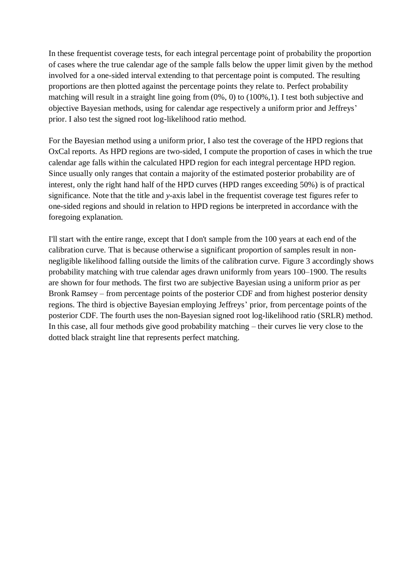In these frequentist coverage tests, for each integral percentage point of probability the proportion of cases where the true calendar age of the sample falls below the upper limit given by the method involved for a one-sided interval extending to that percentage point is computed. The resulting proportions are then plotted against the percentage points they relate to. Perfect probability matching will result in a straight line going from (0%, 0) to (100%,1). I test both subjective and objective Bayesian methods, using for calendar age respectively a uniform prior and Jeffreys' prior. I also test the signed root log-likelihood ratio method.

For the Bayesian method using a uniform prior, I also test the coverage of the HPD regions that OxCal reports. As HPD regions are two-sided, I compute the proportion of cases in which the true calendar age falls within the calculated HPD region for each integral percentage HPD region. Since usually only ranges that contain a majority of the estimated posterior probability are of interest, only the right hand half of the HPD curves (HPD ranges exceeding 50%) is of practical significance. Note that the title and *y*-axis label in the frequentist coverage test figures refer to one-sided regions and should in relation to HPD regions be interpreted in accordance with the foregoing explanation.

I'll start with the entire range, except that I don't sample from the 100 years at each end of the calibration curve. That is because otherwise a significant proportion of samples result in nonnegligible likelihood falling outside the limits of the calibration curve. Figure 3 accordingly shows probability matching with true calendar ages drawn uniformly from years 100–1900. The results are shown for four methods. The first two are subjective Bayesian using a uniform prior as per Bronk Ramsey – from percentage points of the posterior CDF and from highest posterior density regions. The third is objective Bayesian employing Jeffreys' prior, from percentage points of the posterior CDF. The fourth uses the non-Bayesian signed root log-likelihood ratio (SRLR) method. In this case, all four methods give good probability matching – their curves lie very close to the dotted black straight line that represents perfect matching.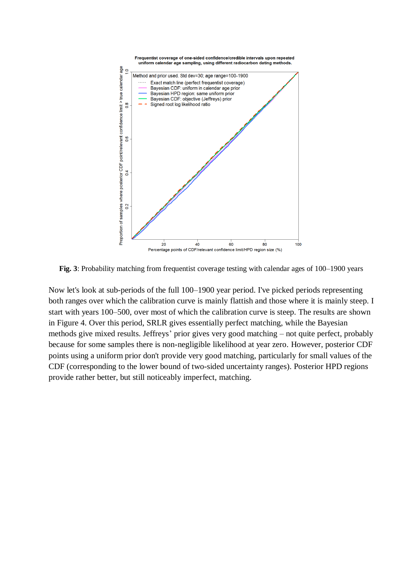

Fig. 3: Probability matching from frequentist coverage testing with calendar ages of 100–1900 years

Now let's look at sub-periods of the full 100–1900 year period. I've picked periods representing both ranges over which the calibration curve is mainly flattish and those where it is mainly steep. I start with years 100–500, over most of which the calibration curve is steep. The results are shown in Figure 4. Over this period, SRLR gives essentially perfect matching, while the Bayesian methods give mixed results. Jeffreys' prior gives very good matching – not quite perfect, probably because for some samples there is non-negligible likelihood at year zero. However, posterior CDF points using a uniform prior don't provide very good matching, particularly for small values of the CDF (corresponding to the lower bound of two-sided uncertainty ranges). Posterior HPD regions provide rather better, but still noticeably imperfect, matching.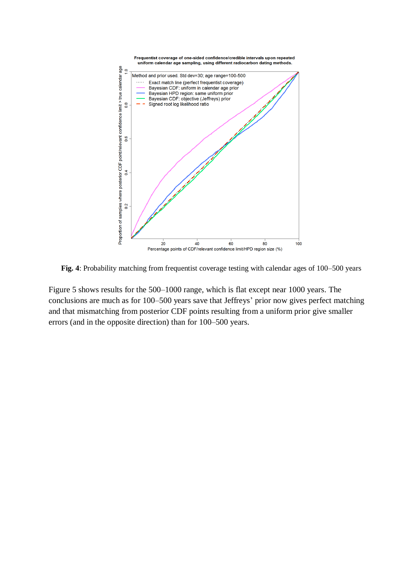

**Fig. 4**: Probability matching from frequentist coverage testing with calendar ages of 100–500 years

Figure 5 shows results for the 500–1000 range, which is flat except near 1000 years. The conclusions are much as for 100–500 years save that Jeffreys' prior now gives perfect matching and that mismatching from posterior CDF points resulting from a uniform prior give smaller errors (and in the opposite direction) than for 100–500 years.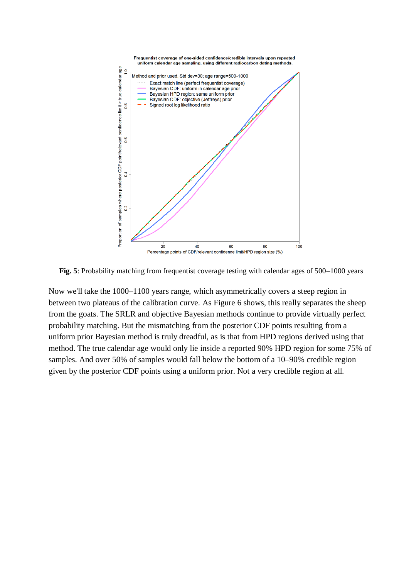

**Fig. 5**: Probability matching from frequentist coverage testing with calendar ages of 500–1000 years

Now we'll take the 1000–1100 years range, which asymmetrically covers a steep region in between two plateaus of the calibration curve. As Figure 6 shows, this really separates the sheep from the goats. The SRLR and objective Bayesian methods continue to provide virtually perfect probability matching. But the mismatching from the posterior CDF points resulting from a uniform prior Bayesian method is truly dreadful, as is that from HPD regions derived using that method. The true calendar age would only lie inside a reported 90% HPD region for some 75% of samples. And over 50% of samples would fall below the bottom of a 10–90% credible region given by the posterior CDF points using a uniform prior. Not a very credible region at all.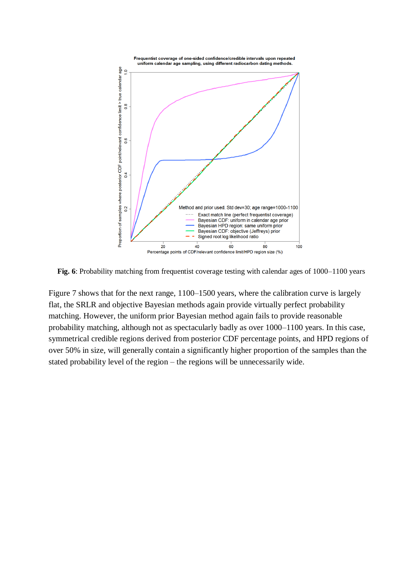

**Fig. 6**: Probability matching from frequentist coverage testing with calendar ages of 1000–1100 years

Figure 7 shows that for the next range, 1100–1500 years, where the calibration curve is largely flat, the SRLR and objective Bayesian methods again provide virtually perfect probability matching. However, the uniform prior Bayesian method again fails to provide reasonable probability matching, although not as spectacularly badly as over 1000–1100 years. In this case, symmetrical credible regions derived from posterior CDF percentage points, and HPD regions of over 50% in size, will generally contain a significantly higher proportion of the samples than the stated probability level of the region – the regions will be unnecessarily wide.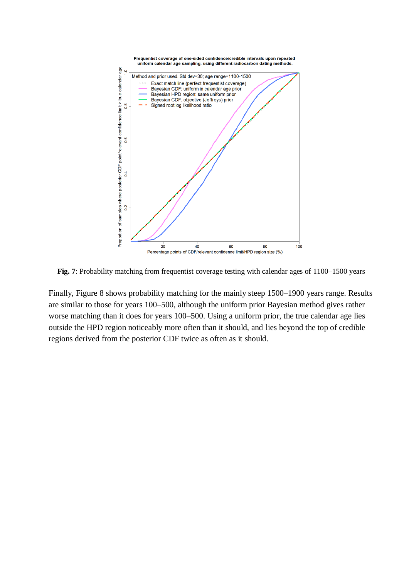

**Fig. 7**: Probability matching from frequentist coverage testing with calendar ages of 1100–1500 years

Finally, Figure 8 shows probability matching for the mainly steep 1500–1900 years range. Results are similar to those for years 100–500, although the uniform prior Bayesian method gives rather worse matching than it does for years 100–500. Using a uniform prior, the true calendar age lies outside the HPD region noticeably more often than it should, and lies beyond the top of credible regions derived from the posterior CDF twice as often as it should.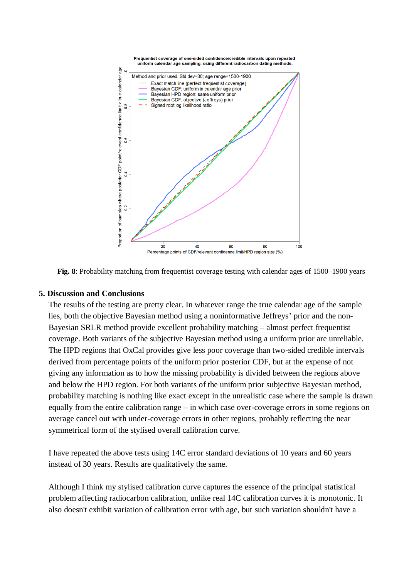



#### **5. Discussion and Conclusions**

The results of the testing are pretty clear. In whatever range the true calendar age of the sample lies, both the objective Bayesian method using a noninformative Jeffreys' prior and the non-Bayesian SRLR method provide excellent probability matching – almost perfect frequentist coverage. Both variants of the subjective Bayesian method using a uniform prior are unreliable. The HPD regions that OxCal provides give less poor coverage than two-sided credible intervals derived from percentage points of the uniform prior posterior CDF, but at the expense of not giving any information as to how the missing probability is divided between the regions above and below the HPD region. For both variants of the uniform prior subjective Bayesian method, probability matching is nothing like exact except in the unrealistic case where the sample is drawn equally from the entire calibration range – in which case over-coverage errors in some regions on average cancel out with under-coverage errors in other regions, probably reflecting the near symmetrical form of the stylised overall calibration curve.

I have repeated the above tests using 14C error standard deviations of 10 years and 60 years instead of 30 years. Results are qualitatively the same.

Although I think my stylised calibration curve captures the essence of the principal statistical problem affecting radiocarbon calibration, unlike real 14C calibration curves it is monotonic. It also doesn't exhibit variation of calibration error with age, but such variation shouldn't have a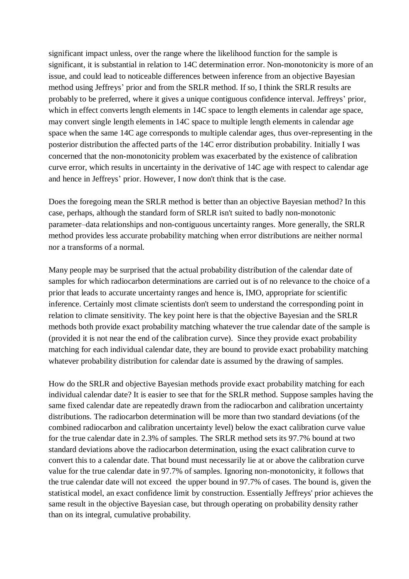significant impact unless, over the range where the likelihood function for the sample is significant, it is substantial in relation to 14C determination error. Non-monotonicity is more of an issue, and could lead to noticeable differences between inference from an objective Bayesian method using Jeffreys' prior and from the SRLR method. If so, I think the SRLR results are probably to be preferred, where it gives a unique contiguous confidence interval. Jeffreys' prior, which in effect converts length elements in 14C space to length elements in calendar age space, may convert single length elements in 14C space to multiple length elements in calendar age space when the same 14C age corresponds to multiple calendar ages, thus over-representing in the posterior distribution the affected parts of the 14C error distribution probability. Initially I was concerned that the non-monotonicity problem was exacerbated by the existence of calibration curve error, which results in uncertainty in the derivative of 14C age with respect to calendar age and hence in Jeffreys' prior. However, I now don't think that is the case.

Does the foregoing mean the SRLR method is better than an objective Bayesian method? In this case, perhaps, although the standard form of SRLR isn't suited to badly non-monotonic parameter–data relationships and non-contiguous uncertainty ranges. More generally, the SRLR method provides less accurate probability matching when error distributions are neither normal nor a transforms of a normal.

Many people may be surprised that the actual probability distribution of the calendar date of samples for which radiocarbon determinations are carried out is of no relevance to the choice of a prior that leads to accurate uncertainty ranges and hence is, IMO, appropriate for scientific inference. Certainly most climate scientists don't seem to understand the corresponding point in relation to climate sensitivity. The key point here is that the objective Bayesian and the SRLR methods both provide exact probability matching whatever the true calendar date of the sample is (provided it is not near the end of the calibration curve). Since they provide exact probability matching for each individual calendar date, they are bound to provide exact probability matching whatever probability distribution for calendar date is assumed by the drawing of samples.

How do the SRLR and objective Bayesian methods provide exact probability matching for each individual calendar date? It is easier to see that for the SRLR method. Suppose samples having the same fixed calendar date are repeatedly drawn from the radiocarbon and calibration uncertainty distributions. The radiocarbon determination will be more than two standard deviations (of the combined radiocarbon and calibration uncertainty level) below the exact calibration curve value for the true calendar date in 2.3% of samples. The SRLR method sets its 97.7% bound at two standard deviations above the radiocarbon determination, using the exact calibration curve to convert this to a calendar date. That bound must necessarily lie at or above the calibration curve value for the true calendar date in 97.7% of samples. Ignoring non-monotonicity, it follows that the true calendar date will not exceed the upper bound in 97.7% of cases. The bound is, given the statistical model, an exact confidence limit by construction. Essentially Jeffreys' prior achieves the same result in the objective Bayesian case, but through operating on probability density rather than on its integral, cumulative probability.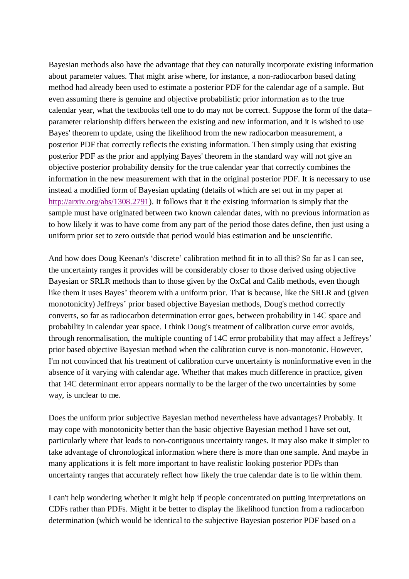Bayesian methods also have the advantage that they can naturally incorporate existing information about parameter values. That might arise where, for instance, a non-radiocarbon based dating method had already been used to estimate a posterior PDF for the calendar age of a sample. But even assuming there is genuine and objective probabilistic prior information as to the true calendar year, what the textbooks tell one to do may not be correct. Suppose the form of the data– parameter relationship differs between the existing and new information, and it is wished to use Bayes' theorem to update, using the likelihood from the new radiocarbon measurement, a posterior PDF that correctly reflects the existing information. Then simply using that existing posterior PDF as the prior and applying Bayes' theorem in the standard way will not give an objective posterior probability density for the true calendar year that correctly combines the information in the new measurement with that in the original posterior PDF. It is necessary to use instead a modified form of Bayesian updating (details of which are set out in my paper at [http://arxiv.org/abs/1308.2791\)](http://arxiv.org/abs/1308.2791). It follows that it the existing information is simply that the sample must have originated between two known calendar dates, with no previous information as to how likely it was to have come from any part of the period those dates define, then just using a uniform prior set to zero outside that period would bias estimation and be unscientific.

And how does Doug Keenan's 'discrete' calibration method fit in to all this? So far as I can see, the uncertainty ranges it provides will be considerably closer to those derived using objective Bayesian or SRLR methods than to those given by the OxCal and Calib methods, even though like them it uses Bayes' theorem with a uniform prior. That is because, like the SRLR and (given monotonicity) Jeffreys' prior based objective Bayesian methods, Doug's method correctly converts, so far as radiocarbon determination error goes, between probability in 14C space and probability in calendar year space. I think Doug's treatment of calibration curve error avoids, through renormalisation, the multiple counting of 14C error probability that may affect a Jeffreys' prior based objective Bayesian method when the calibration curve is non-monotonic. However, I'm not convinced that his treatment of calibration curve uncertainty is noninformative even in the absence of it varying with calendar age. Whether that makes much difference in practice, given that 14C determinant error appears normally to be the larger of the two uncertainties by some way, is unclear to me.

Does the uniform prior subjective Bayesian method nevertheless have advantages? Probably. It may cope with monotonicity better than the basic objective Bayesian method I have set out, particularly where that leads to non-contiguous uncertainty ranges. It may also make it simpler to take advantage of chronological information where there is more than one sample. And maybe in many applications it is felt more important to have realistic looking posterior PDFs than uncertainty ranges that accurately reflect how likely the true calendar date is to lie within them.

I can't help wondering whether it might help if people concentrated on putting interpretations on CDFs rather than PDFs. Might it be better to display the likelihood function from a radiocarbon determination (which would be identical to the subjective Bayesian posterior PDF based on a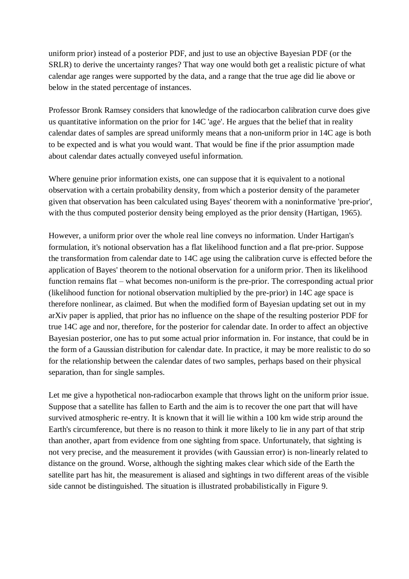uniform prior) instead of a posterior PDF, and just to use an objective Bayesian PDF (or the SRLR) to derive the uncertainty ranges? That way one would both get a realistic picture of what calendar age ranges were supported by the data, and a range that the true age did lie above or below in the stated percentage of instances.

Professor Bronk Ramsey considers that knowledge of the radiocarbon calibration curve does give us quantitative information on the prior for 14C 'age'. He argues that the belief that in reality calendar dates of samples are spread uniformly means that a non-uniform prior in 14C age is both to be expected and is what you would want. That would be fine if the prior assumption made about calendar dates actually conveyed useful information.

Where genuine prior information exists, one can suppose that it is equivalent to a notional observation with a certain probability density, from which a posterior density of the parameter given that observation has been calculated using Bayes' theorem with a noninformative 'pre-prior', with the thus computed posterior density being employed as the prior density (Hartigan, 1965).

However, a uniform prior over the whole real line conveys no information. Under Hartigan's formulation, it's notional observation has a flat likelihood function and a flat pre-prior. Suppose the transformation from calendar date to 14C age using the calibration curve is effected before the application of Bayes' theorem to the notional observation for a uniform prior. Then its likelihood function remains flat – what becomes non-uniform is the pre-prior. The corresponding actual prior (likelihood function for notional observation multiplied by the pre-prior) in 14C age space is therefore nonlinear, as claimed. But when the modified form of Bayesian updating set out in my arXiv paper is applied, that prior has no influence on the shape of the resulting posterior PDF for true 14C age and nor, therefore, for the posterior for calendar date. In order to affect an objective Bayesian posterior, one has to put some actual prior information in. For instance, that could be in the form of a Gaussian distribution for calendar date. In practice, it may be more realistic to do so for the relationship between the calendar dates of two samples, perhaps based on their physical separation, than for single samples.

Let me give a hypothetical non-radiocarbon example that throws light on the uniform prior issue. Suppose that a satellite has fallen to Earth and the aim is to recover the one part that will have survived atmospheric re-entry. It is known that it will lie within a 100 km wide strip around the Earth's circumference, but there is no reason to think it more likely to lie in any part of that strip than another, apart from evidence from one sighting from space. Unfortunately, that sighting is not very precise, and the measurement it provides (with Gaussian error) is non-linearly related to distance on the ground. Worse, although the sighting makes clear which side of the Earth the satellite part has hit, the measurement is aliased and sightings in two different areas of the visible side cannot be distinguished. The situation is illustrated probabilistically in Figure 9.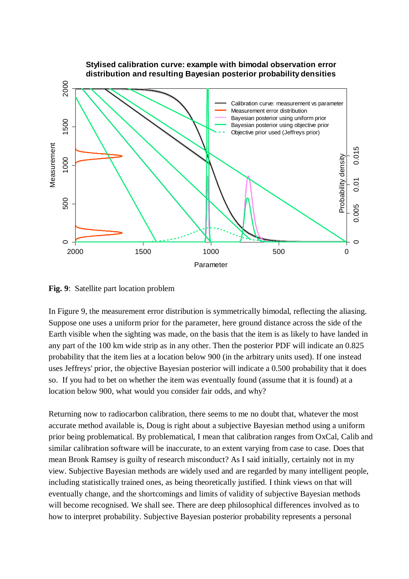

**Fig. 9**: Satellite part location problem

In Figure 9, the measurement error distribution is symmetrically bimodal, reflecting the aliasing. Suppose one uses a uniform prior for the parameter, here ground distance across the side of the Earth visible when the sighting was made, on the basis that the item is as likely to have landed in any part of the 100 km wide strip as in any other. Then the posterior PDF will indicate an 0.825 probability that the item lies at a location below 900 (in the arbitrary units used). If one instead uses Jeffreys' prior, the objective Bayesian posterior will indicate a 0.500 probability that it does so. If you had to bet on whether the item was eventually found (assume that it is found) at a location below 900, what would you consider fair odds, and why?

Returning now to radiocarbon calibration, there seems to me no doubt that, whatever the most accurate method available is, Doug is right about a subjective Bayesian method using a uniform prior being problematical. By problematical, I mean that calibration ranges from OxCal, Calib and similar calibration software will be inaccurate, to an extent varying from case to case. Does that mean Bronk Ramsey is guilty of research misconduct? As I said initially, certainly not in my view. Subjective Bayesian methods are widely used and are regarded by many intelligent people, including statistically trained ones, as being theoretically justified. I think views on that will eventually change, and the shortcomings and limits of validity of subjective Bayesian methods will become recognised. We shall see. There are deep philosophical differences involved as to how to interpret probability. Subjective Bayesian posterior probability represents a personal